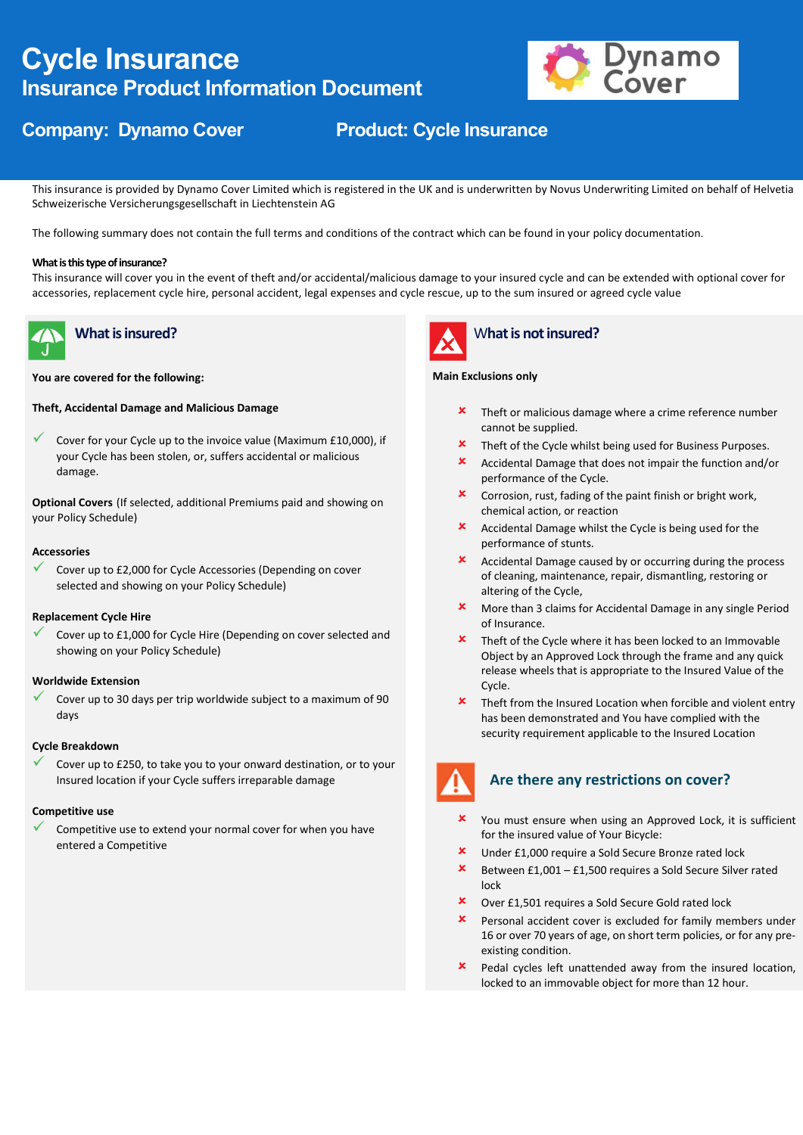# Cycle Insurance Insurance Product Information Document



# Company: Dynamo Cover Product: Cycle Insurance

This insurance is provided by Dynamo Cover Limited which is registered in the UK and is underwritten by Novus Underwriting Limited on behalf of Helvetia Schweizerische Versicherungsgesellschaft in Liechtenstein AG

The following summary does not contain the full terms and conditions of the contract which can be found in your policy documentation.

### What is this type of insurance?

This insurance will cover you in the event of theft and/or accidental/malicious damage to your insured cycle and can be extended with optional cover for accessories, replacement cycle hire, personal accident, legal expenses and cycle rescue, up to the sum insured or agreed cycle value



# What is insured?

You are covered for the following:

# Theft, Accidental Damage and Malicious Damage

 Cover for your Cycle up to the invoice value (Maximum £10,000), if your Cycle has been stolen, or, suffers accidental or malicious damage.

Optional Covers (If selected, additional Premiums paid and showing on your Policy Schedule)

### Accessories

 Cover up to £2,000 for Cycle Accessories (Depending on cover selected and showing on your Policy Schedule)

# Replacement Cycle Hire

 Cover up to £1,000 for Cycle Hire (Depending on cover selected and showing on your Policy Schedule)

## Worldwide Extension

 Cover up to 30 days per trip worldwide subject to a maximum of 90 days

#### Cycle Breakdown

 Cover up to £250, to take you to your onward destination, or to your Insured location if your Cycle suffers irreparable damage

#### Competitive use

 Competitive use to extend your normal cover for when you have entered a Competitive



# What is not insured?

### Main Exclusions only

- $\mathbf{\times}$  Theft or malicious damage where a crime reference number cannot be supplied.
- **\*** Theft of the Cycle whilst being used for Business Purposes.
- Accidental Damage that does not impair the function and/or performance of the Cycle.
- Corrosion, rust, fading of the paint finish or bright work, chemical action, or reaction
- Accidental Damage whilst the Cycle is being used for the performance of stunts.
- Accidental Damage caused by or occurring during the process of cleaning, maintenance, repair, dismantling, restoring or altering of the Cycle,
- More than 3 claims for Accidental Damage in any single Period of Insurance.
- **x** Theft of the Cycle where it has been locked to an Immovable Object by an Approved Lock through the frame and any quick release wheels that is appropriate to the Insured Value of the Cycle.
- Theft from the Insured Location when forcible and violent entry has been demonstrated and You have complied with the security requirement applicable to the Insured Location



# Are there any restrictions on cover?

- You must ensure when using an Approved Lock, it is sufficient for the insured value of Your Bicycle:
- Under £1,000 require a Sold Secure Bronze rated lock
- $\star$  Between £1,001 £1,500 requires a Sold Secure Silver rated lock
- Over £1,501 requires a Sold Secure Gold rated lock
- Personal accident cover is excluded for family members under 16 or over 70 years of age, on short term policies, or for any preexisting condition.
- **x** Pedal cycles left unattended away from the insured location, locked to an immovable object for more than 12 hour.